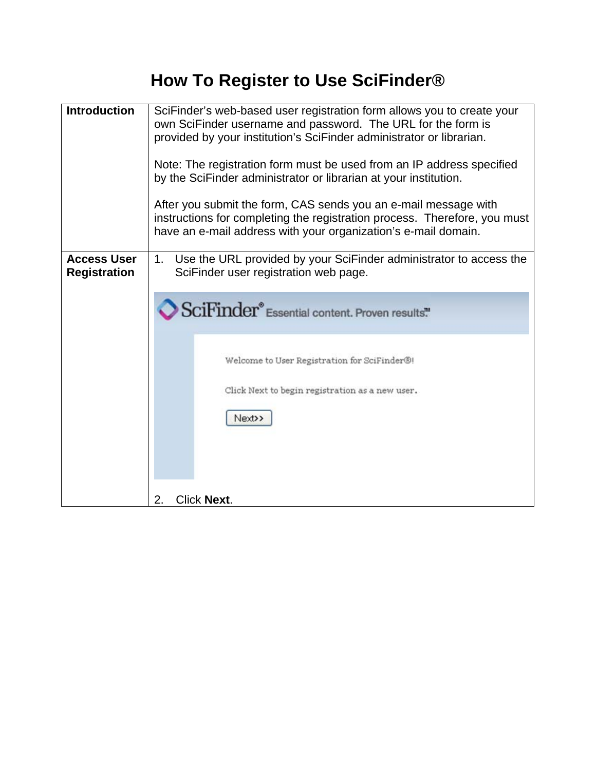## **How To Register to Use SciFinder®**

| <b>Introduction</b>                       | SciFinder's web-based user registration form allows you to create your<br>own SciFinder username and password. The URL for the form is<br>provided by your institution's SciFinder administrator or librarian.<br>Note: The registration form must be used from an IP address specified<br>by the SciFinder administrator or librarian at your institution.<br>After you submit the form, CAS sends you an e-mail message with<br>instructions for completing the registration process. Therefore, you must<br>have an e-mail address with your organization's e-mail domain. |
|-------------------------------------------|-------------------------------------------------------------------------------------------------------------------------------------------------------------------------------------------------------------------------------------------------------------------------------------------------------------------------------------------------------------------------------------------------------------------------------------------------------------------------------------------------------------------------------------------------------------------------------|
| <b>Access User</b><br><b>Registration</b> | Use the URL provided by your SciFinder administrator to access the<br>1.<br>SciFinder user registration web page.<br>SciFinder® Essential content. Proven results."<br>Welcome to User Registration for SciFinder®!<br>Click Next to begin registration as a new user.<br>Next>><br><b>Click Next.</b><br>2.                                                                                                                                                                                                                                                                  |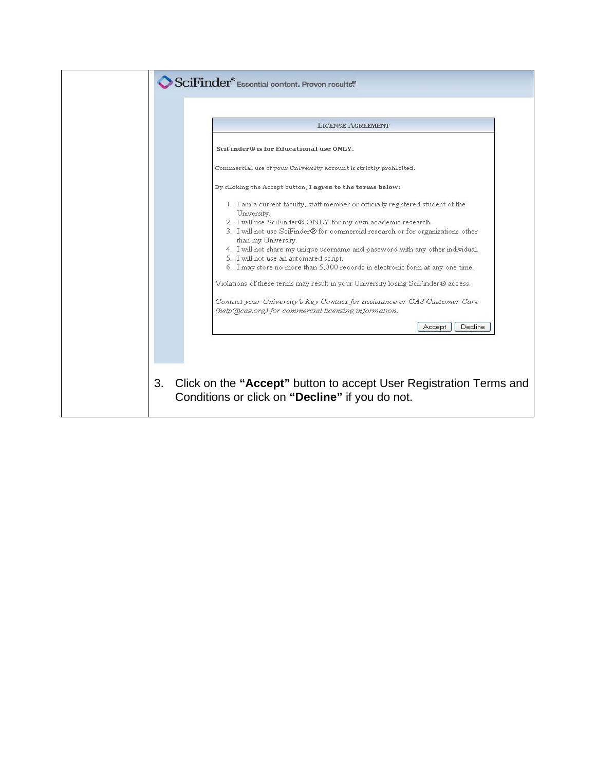|                                                                              | <b>LICENSE AGREEMENT</b>                                                                                                                                                                                                                                                                                                                                                                                                                                                                                                                                                                                                        |
|------------------------------------------------------------------------------|---------------------------------------------------------------------------------------------------------------------------------------------------------------------------------------------------------------------------------------------------------------------------------------------------------------------------------------------------------------------------------------------------------------------------------------------------------------------------------------------------------------------------------------------------------------------------------------------------------------------------------|
| SciFinder® is for Educational use ONLY.                                      |                                                                                                                                                                                                                                                                                                                                                                                                                                                                                                                                                                                                                                 |
|                                                                              | Commercial use of your University account is strictly prohibited.                                                                                                                                                                                                                                                                                                                                                                                                                                                                                                                                                               |
|                                                                              | By clicking the Accept button, I agree to the terms below:                                                                                                                                                                                                                                                                                                                                                                                                                                                                                                                                                                      |
| University.<br>than my University.<br>5. I will not use an automated script. | 1. I am a current faculty, staff member or officially registered student of the<br>2. I will use SciFinder® ONLY for my own academic research.<br>3. I will not use SciFinder® for commercial research or for organizations other<br>4. I will not share my unique username and password with any other individual.<br>6. I may store no more than 5,000 records in electronic form at any one time.<br>Violations of these terms may result in your University losing SciFinder® access.<br>Contact your University's Key Contact for assistance or CAS Customer Care<br>(help(@cas.org) for commercial licensing information. |
|                                                                              |                                                                                                                                                                                                                                                                                                                                                                                                                                                                                                                                                                                                                                 |
|                                                                              | Decline<br>Accept                                                                                                                                                                                                                                                                                                                                                                                                                                                                                                                                                                                                               |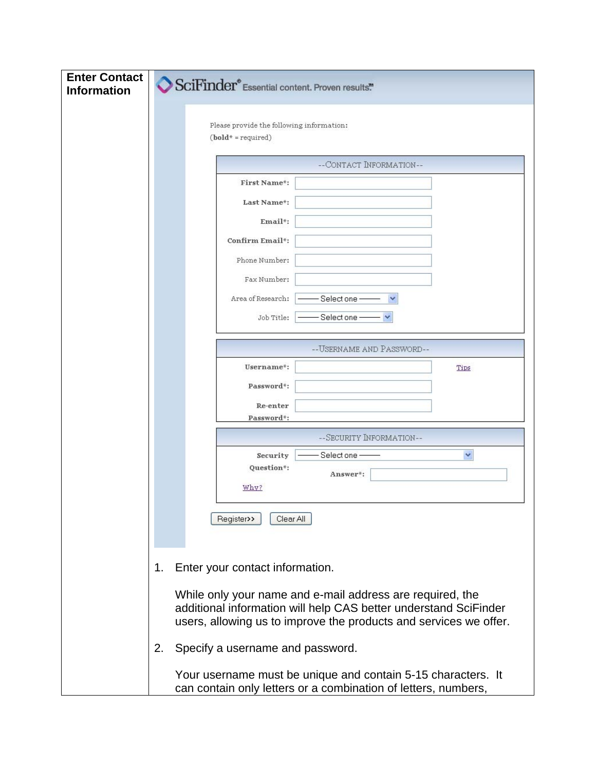| <b>Enter Contact</b><br><b>Information</b> |    |                                                                   | SciFinder® Essential content. Proven results."                                                                                                                                                     |      |
|--------------------------------------------|----|-------------------------------------------------------------------|----------------------------------------------------------------------------------------------------------------------------------------------------------------------------------------------------|------|
|                                            |    | Please provide the following information:<br>$(bold* = required)$ |                                                                                                                                                                                                    |      |
|                                            |    |                                                                   | --CONTACT INFORMATION--                                                                                                                                                                            |      |
|                                            |    | First Name*:                                                      |                                                                                                                                                                                                    |      |
|                                            |    | Last Name*:                                                       |                                                                                                                                                                                                    |      |
|                                            |    | Email*:                                                           |                                                                                                                                                                                                    |      |
|                                            |    | Confirm Email*:                                                   |                                                                                                                                                                                                    |      |
|                                            |    | Phone Number:                                                     |                                                                                                                                                                                                    |      |
|                                            |    | Fax Number:                                                       |                                                                                                                                                                                                    |      |
|                                            |    | Area of Research:                                                 | Select one                                                                                                                                                                                         |      |
|                                            |    | Job Title:                                                        | Select one                                                                                                                                                                                         |      |
|                                            |    |                                                                   |                                                                                                                                                                                                    |      |
|                                            |    |                                                                   | -- USERNAME AND PASSWORD--                                                                                                                                                                         |      |
|                                            |    | Username*:                                                        |                                                                                                                                                                                                    | Tips |
|                                            |    | Password*:                                                        |                                                                                                                                                                                                    |      |
|                                            |    | Re-enter<br>Password*:                                            |                                                                                                                                                                                                    |      |
|                                            |    |                                                                   | --SECURITY INFORMATION--                                                                                                                                                                           |      |
|                                            |    | Security                                                          | Select one                                                                                                                                                                                         | Y    |
|                                            |    | Question*:                                                        | Answer*:                                                                                                                                                                                           |      |
|                                            |    | Why?                                                              |                                                                                                                                                                                                    |      |
|                                            |    | Register>><br>Clear All                                           |                                                                                                                                                                                                    |      |
|                                            |    |                                                                   |                                                                                                                                                                                                    |      |
|                                            | 1. | Enter your contact information.                                   |                                                                                                                                                                                                    |      |
|                                            |    |                                                                   | While only your name and e-mail address are required, the<br>additional information will help CAS better understand SciFinder<br>users, allowing us to improve the products and services we offer. |      |
|                                            | 2. | Specify a username and password.                                  |                                                                                                                                                                                                    |      |
|                                            |    |                                                                   | Your username must be unique and contain 5-15 characters. It<br>can contain only letters or a combination of letters, numbers,                                                                     |      |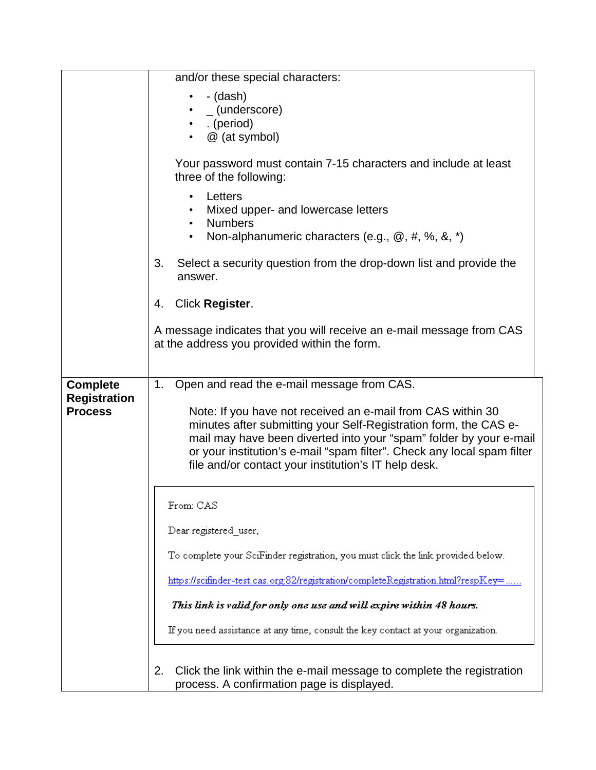|                     | and/or these special characters:                                                                                                |
|---------------------|---------------------------------------------------------------------------------------------------------------------------------|
|                     | - (dash)                                                                                                                        |
|                     | $_$ (underscore)<br>. (period)                                                                                                  |
|                     | @ (at symbol)                                                                                                                   |
|                     |                                                                                                                                 |
|                     | Your password must contain 7-15 characters and include at least<br>three of the following:                                      |
|                     | Letters<br>$\bullet$<br>Mixed upper- and lowercase letters                                                                      |
|                     | <b>Numbers</b>                                                                                                                  |
|                     | Non-alphanumeric characters (e.g., @, #, %, &, *)<br>$\bullet$                                                                  |
|                     | Select a security question from the drop-down list and provide the<br>3.<br>answer.                                             |
|                     | Click Register.<br>4.                                                                                                           |
|                     | A message indicates that you will receive an e-mail message from CAS<br>at the address you provided within the form.            |
| <b>Complete</b>     | Open and read the e-mail message from CAS.<br>1.                                                                                |
| <b>Registration</b> |                                                                                                                                 |
| <b>Process</b>      | Note: If you have not received an e-mail from CAS within 30<br>minutes after submitting your Self-Registration form, the CAS e- |
|                     | mail may have been diverted into your "spam" folder by your e-mail                                                              |
|                     | or your institution's e-mail "spam filter". Check any local spam filter                                                         |
|                     | file and/or contact your institution's IT help desk.                                                                            |
|                     |                                                                                                                                 |
|                     | From: CAS                                                                                                                       |
|                     | Dear registered_user,                                                                                                           |
|                     | To complete your SciFinder registration, you must click the link provided below.                                                |
|                     | https://scifinder-test.cas.org:82/registration/completeRegistration.html?respKey=                                               |
|                     | This link is valid for only one use and will expire within 48 hours.                                                            |
|                     | If you need assistance at any time, consult the key contact at your organization.                                               |
|                     |                                                                                                                                 |
|                     | Click the link within the e-mail message to complete the registration<br>2.                                                     |
|                     | process. A confirmation page is displayed.                                                                                      |